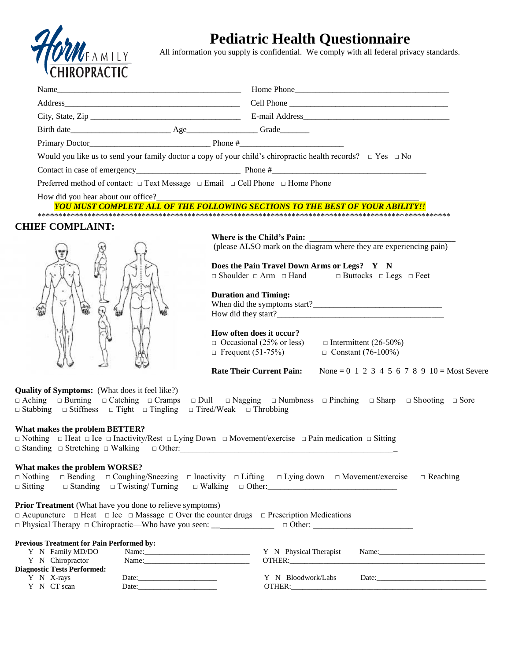

## **Pediatric Health Questionnaire**

All information you supply is confidential. We comply with all federal privacy standards.

| <b>CHINOL NACTIC</b>                                                                                                   |                                                                                                                                                                                                                               |
|------------------------------------------------------------------------------------------------------------------------|-------------------------------------------------------------------------------------------------------------------------------------------------------------------------------------------------------------------------------|
|                                                                                                                        |                                                                                                                                                                                                                               |
|                                                                                                                        |                                                                                                                                                                                                                               |
|                                                                                                                        |                                                                                                                                                                                                                               |
|                                                                                                                        |                                                                                                                                                                                                                               |
|                                                                                                                        | Would you like us to send your family doctor a copy of your child's chiropractic health records? $\Box$ Yes $\Box$ No                                                                                                         |
|                                                                                                                        |                                                                                                                                                                                                                               |
| Preferred method of contact: □ Text Message □ Email □ Cell Phone □ Home Phone                                          |                                                                                                                                                                                                                               |
| How did you hear about our office?                                                                                     |                                                                                                                                                                                                                               |
|                                                                                                                        | YOU MUST COMPLETE ALL OF THE FOLLOWING SECTIONS TO THE BEST OF YOUR ABILITY!!                                                                                                                                                 |
| <b>CHIEF COMPLAINT:</b>                                                                                                |                                                                                                                                                                                                                               |
|                                                                                                                        |                                                                                                                                                                                                                               |
|                                                                                                                        | (please ALSO mark on the diagram where they are experiencing pain)                                                                                                                                                            |
|                                                                                                                        | Does the Pain Travel Down Arms or Legs? Y N                                                                                                                                                                                   |
|                                                                                                                        | $\Box$ Shoulder $\Box$ Arm $\Box$ Hand $\Box$ Buttocks $\Box$ Legs $\Box$ Feet                                                                                                                                                |
|                                                                                                                        | <b>Duration and Timing:</b>                                                                                                                                                                                                   |
|                                                                                                                        |                                                                                                                                                                                                                               |
|                                                                                                                        |                                                                                                                                                                                                                               |
|                                                                                                                        | How often does it occur?                                                                                                                                                                                                      |
|                                                                                                                        | $\Box$ Occasional (25% or less)<br>$\Box$ Intermittent (26-50%)                                                                                                                                                               |
|                                                                                                                        | $\Box$ Frequent (51-75%)<br>$\Box$ Constant (76-100%)                                                                                                                                                                         |
|                                                                                                                        | <b>Rate Their Current Pain:</b><br>None = $0 \t1 \t2 \t3 \t4 \t5 \t6 \t7 \t8 \t9 \t10 = Most Severe$                                                                                                                          |
| <b>Quality of Symptoms:</b> (What does it feel like?)                                                                  |                                                                                                                                                                                                                               |
| $\Box$ Aching $\Box$ Burning $\Box$ Catching $\Box$ Cramps                                                             | $\Box$ Dull $\Box$ Nagging $\Box$ Numbness $\Box$ Pinching $\Box$ Sharp $\Box$ Shooting $\Box$ Sore                                                                                                                           |
| $\Box$ Stabbing $\Box$ Stiffness $\Box$ Tight $\Box$ Tingling $\Box$ Tired/Weak $\Box$ Throbbing                       |                                                                                                                                                                                                                               |
| What makes the problem BETTER?                                                                                         |                                                                                                                                                                                                                               |
|                                                                                                                        | $\Box$ Nothing $\Box$ Heat $\Box$ Ice $\Box$ Inactivity/Rest $\Box$ Lying Down $\Box$ Movement/exercise $\Box$ Pain medication $\Box$ Sitting                                                                                 |
| $\Box$ Standing $\Box$ Stretching $\Box$ Walking $\Box$ Other:                                                         |                                                                                                                                                                                                                               |
| What makes the problem WORSE?                                                                                          |                                                                                                                                                                                                                               |
| $\Box$ Nothing<br>$\Box$ Sitting<br>$\Box$ Standing $\Box$ Twisting/Turning                                            | $\Box$ Bending $\Box$ Coughing/Sneezing $\Box$ Inactivity $\Box$ Lifting $\Box$ Lying down $\Box$ Movement/exercise<br>$\Box$ Reaching<br>$\Box$ Walking $\Box$ Other:                                                        |
|                                                                                                                        |                                                                                                                                                                                                                               |
| <b>Prior Treatment</b> (What have you done to relieve symptoms)                                                        |                                                                                                                                                                                                                               |
| $\Box$ Acupuncture $\Box$ Heat $\Box$ Ice $\Box$ Massage $\Box$ Over the counter drugs $\Box$ Prescription Medications | □ Physical Therapy □ Chiropractic—Who have you seen: ___________________________ □ Other: ___________________________                                                                                                         |
|                                                                                                                        |                                                                                                                                                                                                                               |
| <b>Previous Treatment for Pain Performed by:</b><br>Y N Family MD/DO                                                   | Name: Name: Name: Name: Name: Name: Name: Name: Name: Name: Name: Name: Name: Name: Name: Name: Name: Name: Name: Name: Name: Name: Name: Name: Name: Name: Name: Name: Name: Name: Name: Name: Name: Name: Name: Name: Name: |
| Y N Chiropractor<br>Name:                                                                                              |                                                                                                                                                                                                                               |
| <b>Diagnostic Tests Performed:</b><br>Y N X-rays                                                                       | Y N Bloodwork/Labs<br>Date: $\qquad \qquad$                                                                                                                                                                                   |
| Y N CT scan<br>Date:                                                                                                   | OTHER:                                                                                                                                                                                                                        |